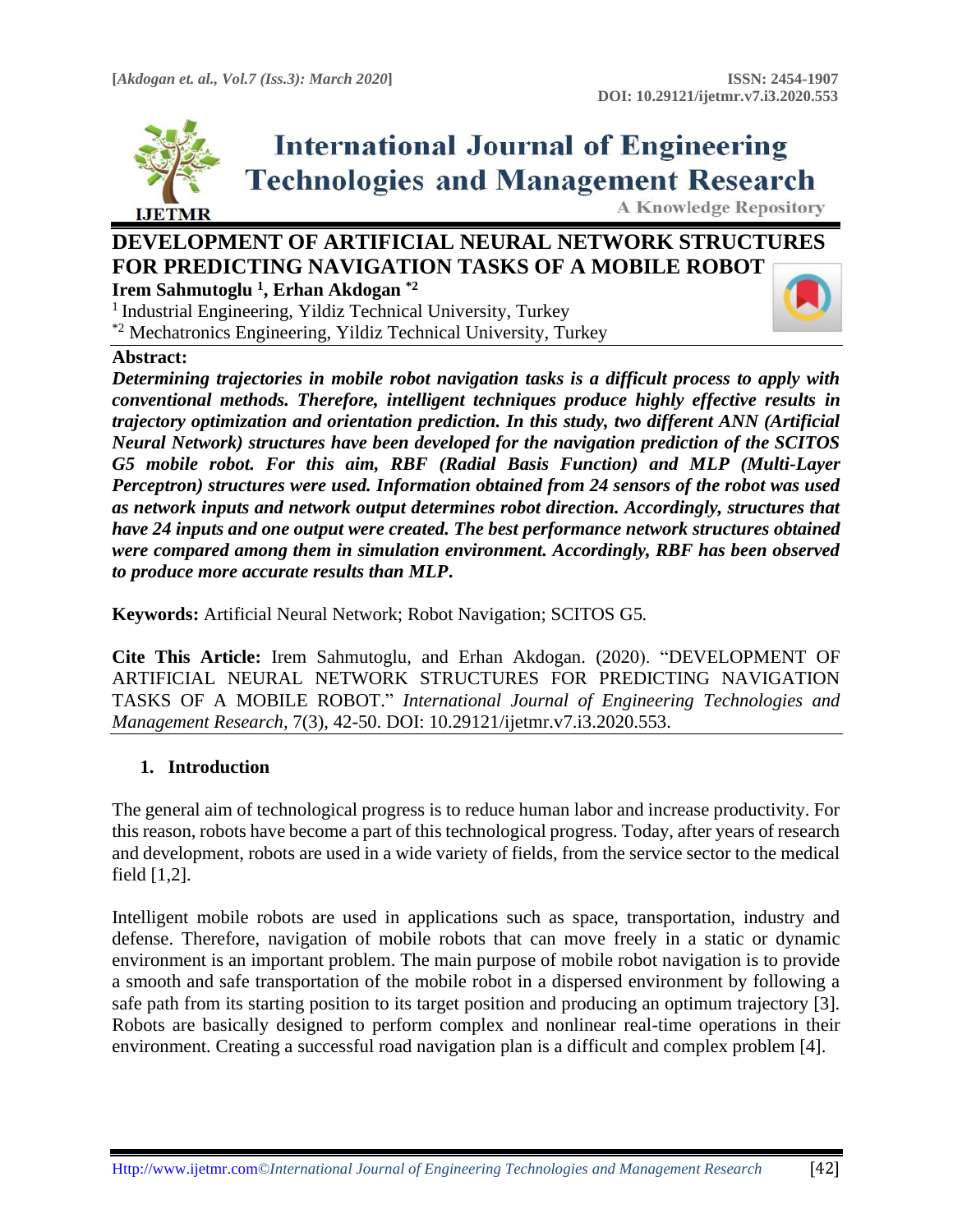

# **International Journal of Engineering Technologies and Management Research**

**A Knowledge Repository** 

# **DEVELOPMENT OF ARTIFICIAL NEURAL NETWORK STRUCTURES FOR PREDICTING NAVIGATION TASKS OF A MOBILE ROBOT Irem Sahmutoglu <sup>1</sup> , Erhan Akdogan \*2**

 $<sup>1</sup>$  Industrial Engineering, Yildiz Technical University, Turkey</sup> \*2 Mechatronics Engineering, Yildiz Technical University, Turkey

## **Abstract:**

*Determining trajectories in mobile robot navigation tasks is a difficult process to apply with conventional methods. Therefore, intelligent techniques produce highly effective results in trajectory optimization and orientation prediction. In this study, two different ANN (Artificial Neural Network) structures have been developed for the navigation prediction of the SCITOS G5 mobile robot. For this aim, RBF (Radial Basis Function) and MLP (Multi-Layer Perceptron) structures were used. Information obtained from 24 sensors of the robot was used as network inputs and network output determines robot direction. Accordingly, structures that have 24 inputs and one output were created. The best performance network structures obtained were compared among them in simulation environment. Accordingly, RBF has been observed to produce more accurate results than MLP***.**

**Keywords:** Artificial Neural Network; Robot Navigation; SCITOS G5*.*

**Cite This Article:** Irem Sahmutoglu, and Erhan Akdogan. (2020). "DEVELOPMENT OF ARTIFICIAL NEURAL NETWORK STRUCTURES FOR PREDICTING NAVIGATION TASKS OF A MOBILE ROBOT." *International Journal of Engineering Technologies and Management Research,* 7(3), 42-50. DOI: 10.29121/ijetmr.v7.i3.2020.553.

## **1. Introduction**

The general aim of technological progress is to reduce human labor and increase productivity. For this reason, robots have become a part of this technological progress. Today, after years of research and development, robots are used in a wide variety of fields, from the service sector to the medical field [1,2].

Intelligent mobile robots are used in applications such as space, transportation, industry and defense. Therefore, navigation of mobile robots that can move freely in a static or dynamic environment is an important problem. The main purpose of mobile robot navigation is to provide a smooth and safe transportation of the mobile robot in a dispersed environment by following a safe path from its starting position to its target position and producing an optimum trajectory [3]. Robots are basically designed to perform complex and nonlinear real-time operations in their environment. Creating a successful road navigation plan is a difficult and complex problem [4].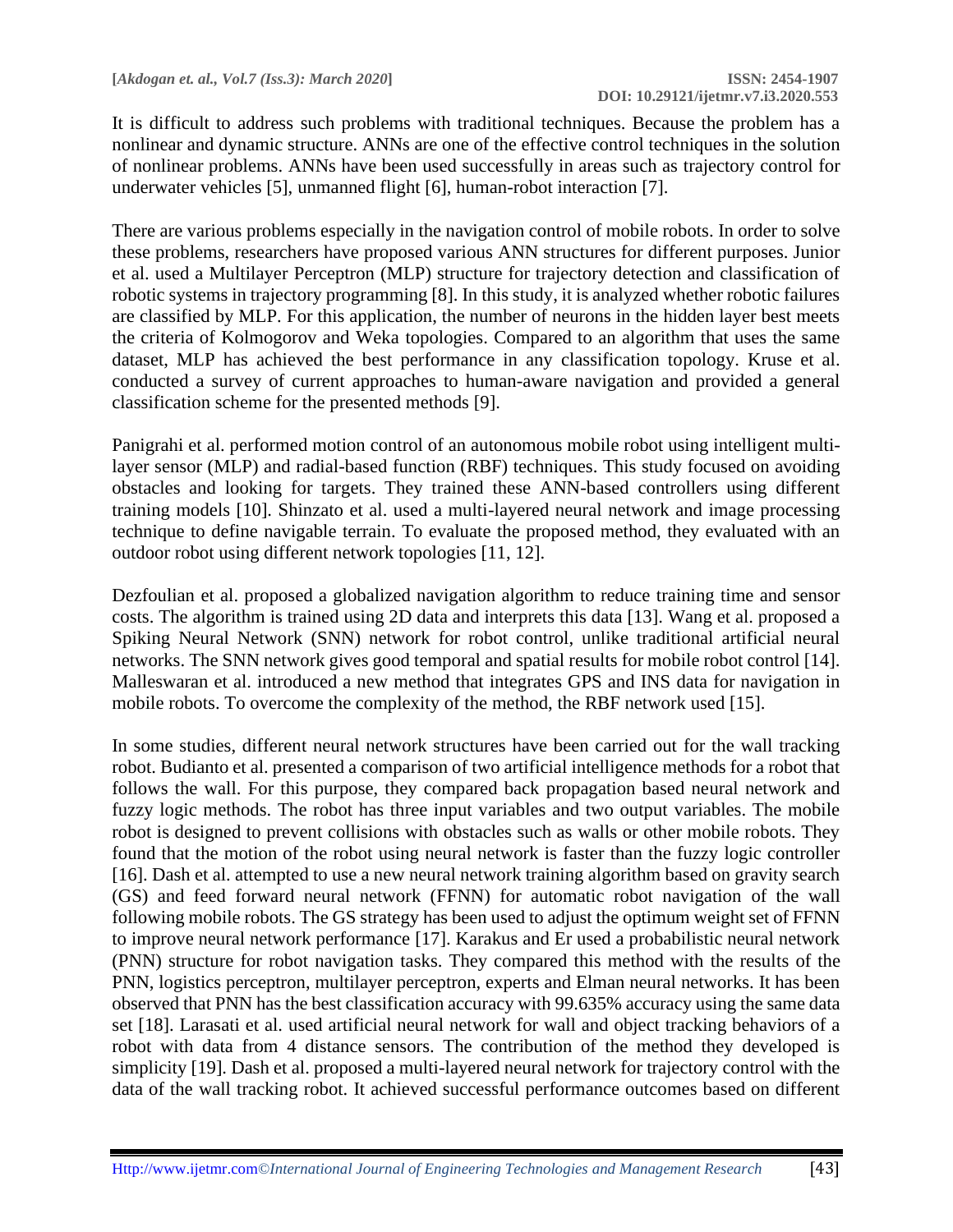It is difficult to address such problems with traditional techniques. Because the problem has a nonlinear and dynamic structure. ANNs are one of the effective control techniques in the solution of nonlinear problems. ANNs have been used successfully in areas such as trajectory control for underwater vehicles [5], unmanned flight [6], human-robot interaction [7].

There are various problems especially in the navigation control of mobile robots. In order to solve these problems, researchers have proposed various ANN structures for different purposes. Junior et al. used a Multilayer Perceptron (MLP) structure for trajectory detection and classification of robotic systems in trajectory programming [8]. In this study, it is analyzed whether robotic failures are classified by MLP. For this application, the number of neurons in the hidden layer best meets the criteria of Kolmogorov and Weka topologies. Compared to an algorithm that uses the same dataset, MLP has achieved the best performance in any classification topology. Kruse et al. conducted a survey of current approaches to human-aware navigation and provided a general classification scheme for the presented methods [9].

Panigrahi et al. performed motion control of an autonomous mobile robot using intelligent multilayer sensor (MLP) and radial-based function (RBF) techniques. This study focused on avoiding obstacles and looking for targets. They trained these ANN-based controllers using different training models [10]. Shinzato et al. used a multi-layered neural network and image processing technique to define navigable terrain. To evaluate the proposed method, they evaluated with an outdoor robot using different network topologies [11, 12].

Dezfoulian et al. proposed a globalized navigation algorithm to reduce training time and sensor costs. The algorithm is trained using 2D data and interprets this data [13]. Wang et al. proposed a Spiking Neural Network (SNN) network for robot control, unlike traditional artificial neural networks. The SNN network gives good temporal and spatial results for mobile robot control [14]. Malleswaran et al. introduced a new method that integrates GPS and INS data for navigation in mobile robots. To overcome the complexity of the method, the RBF network used [15].

In some studies, different neural network structures have been carried out for the wall tracking robot. Budianto et al. presented a comparison of two artificial intelligence methods for a robot that follows the wall. For this purpose, they compared back propagation based neural network and fuzzy logic methods. The robot has three input variables and two output variables. The mobile robot is designed to prevent collisions with obstacles such as walls or other mobile robots. They found that the motion of the robot using neural network is faster than the fuzzy logic controller [16]. Dash et al. attempted to use a new neural network training algorithm based on gravity search (GS) and feed forward neural network (FFNN) for automatic robot navigation of the wall following mobile robots. The GS strategy has been used to adjust the optimum weight set of FFNN to improve neural network performance [17]. Karakus and Er used a probabilistic neural network (PNN) structure for robot navigation tasks. They compared this method with the results of the PNN, logistics perceptron, multilayer perceptron, experts and Elman neural networks. It has been observed that PNN has the best classification accuracy with 99.635% accuracy using the same data set [18]. Larasati et al. used artificial neural network for wall and object tracking behaviors of a robot with data from 4 distance sensors. The contribution of the method they developed is simplicity [19]. Dash et al. proposed a multi-layered neural network for trajectory control with the data of the wall tracking robot. It achieved successful performance outcomes based on different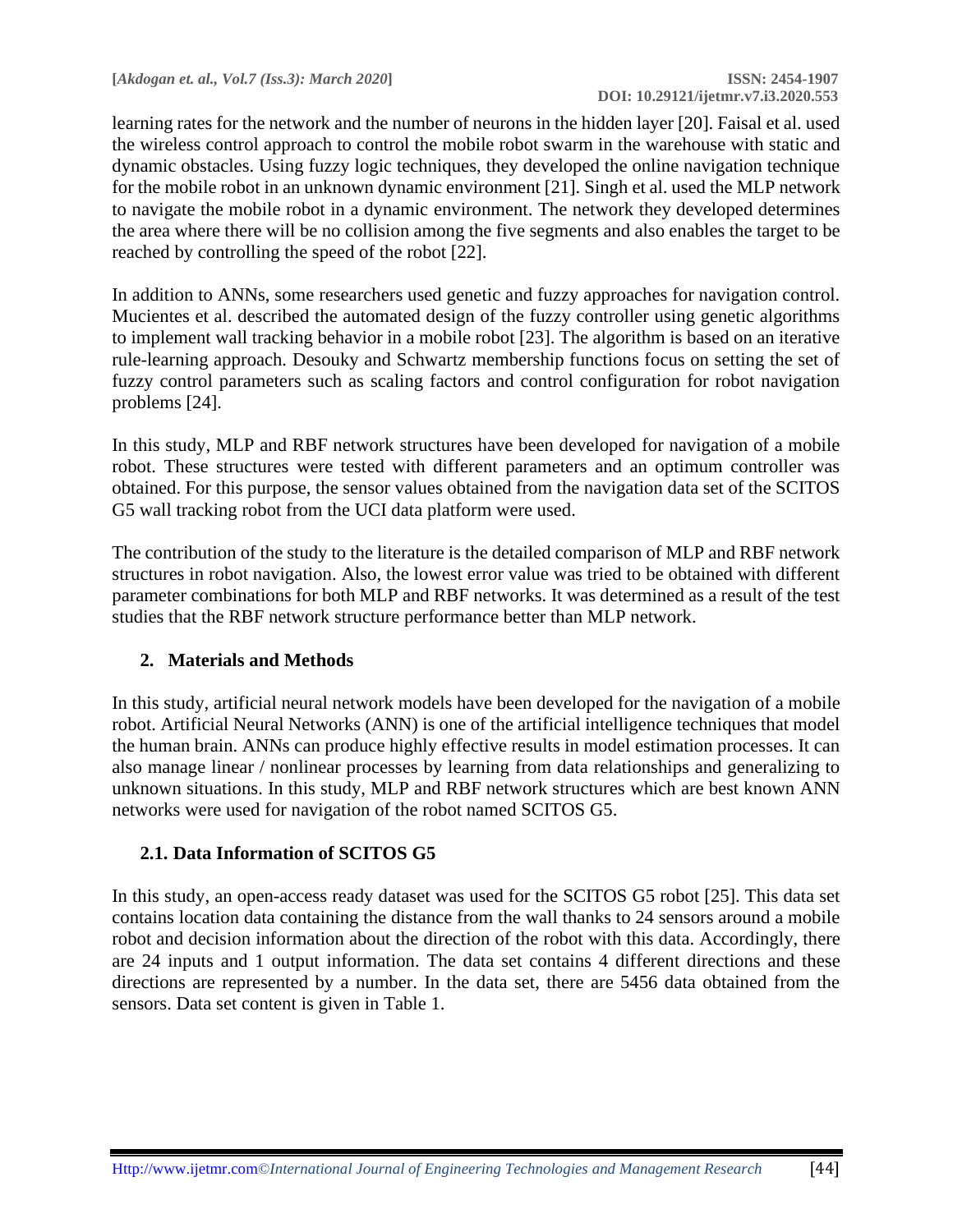learning rates for the network and the number of neurons in the hidden layer [20]. Faisal et al. used the wireless control approach to control the mobile robot swarm in the warehouse with static and dynamic obstacles. Using fuzzy logic techniques, they developed the online navigation technique for the mobile robot in an unknown dynamic environment [21]. Singh et al. used the MLP network to navigate the mobile robot in a dynamic environment. The network they developed determines the area where there will be no collision among the five segments and also enables the target to be reached by controlling the speed of the robot [22].

In addition to ANNs, some researchers used genetic and fuzzy approaches for navigation control. Mucientes et al. described the automated design of the fuzzy controller using genetic algorithms to implement wall tracking behavior in a mobile robot [23]. The algorithm is based on an iterative rule-learning approach. Desouky and Schwartz membership functions focus on setting the set of fuzzy control parameters such as scaling factors and control configuration for robot navigation problems [24].

In this study, MLP and RBF network structures have been developed for navigation of a mobile robot. These structures were tested with different parameters and an optimum controller was obtained. For this purpose, the sensor values obtained from the navigation data set of the SCITOS G5 wall tracking robot from the UCI data platform were used.

The contribution of the study to the literature is the detailed comparison of MLP and RBF network structures in robot navigation. Also, the lowest error value was tried to be obtained with different parameter combinations for both MLP and RBF networks. It was determined as a result of the test studies that the RBF network structure performance better than MLP network.

## **2. Materials and Methods**

In this study, artificial neural network models have been developed for the navigation of a mobile robot. Artificial Neural Networks (ANN) is one of the artificial intelligence techniques that model the human brain. ANNs can produce highly effective results in model estimation processes. It can also manage linear / nonlinear processes by learning from data relationships and generalizing to unknown situations. In this study, MLP and RBF network structures which are best known ANN networks were used for navigation of the robot named SCITOS G5.

### **2.1. Data Information of SCITOS G5**

In this study, an open-access ready dataset was used for the SCITOS G5 robot [25]. This data set contains location data containing the distance from the wall thanks to 24 sensors around a mobile robot and decision information about the direction of the robot with this data. Accordingly, there are 24 inputs and 1 output information. The data set contains 4 different directions and these directions are represented by a number. In the data set, there are 5456 data obtained from the sensors. Data set content is given in Table 1.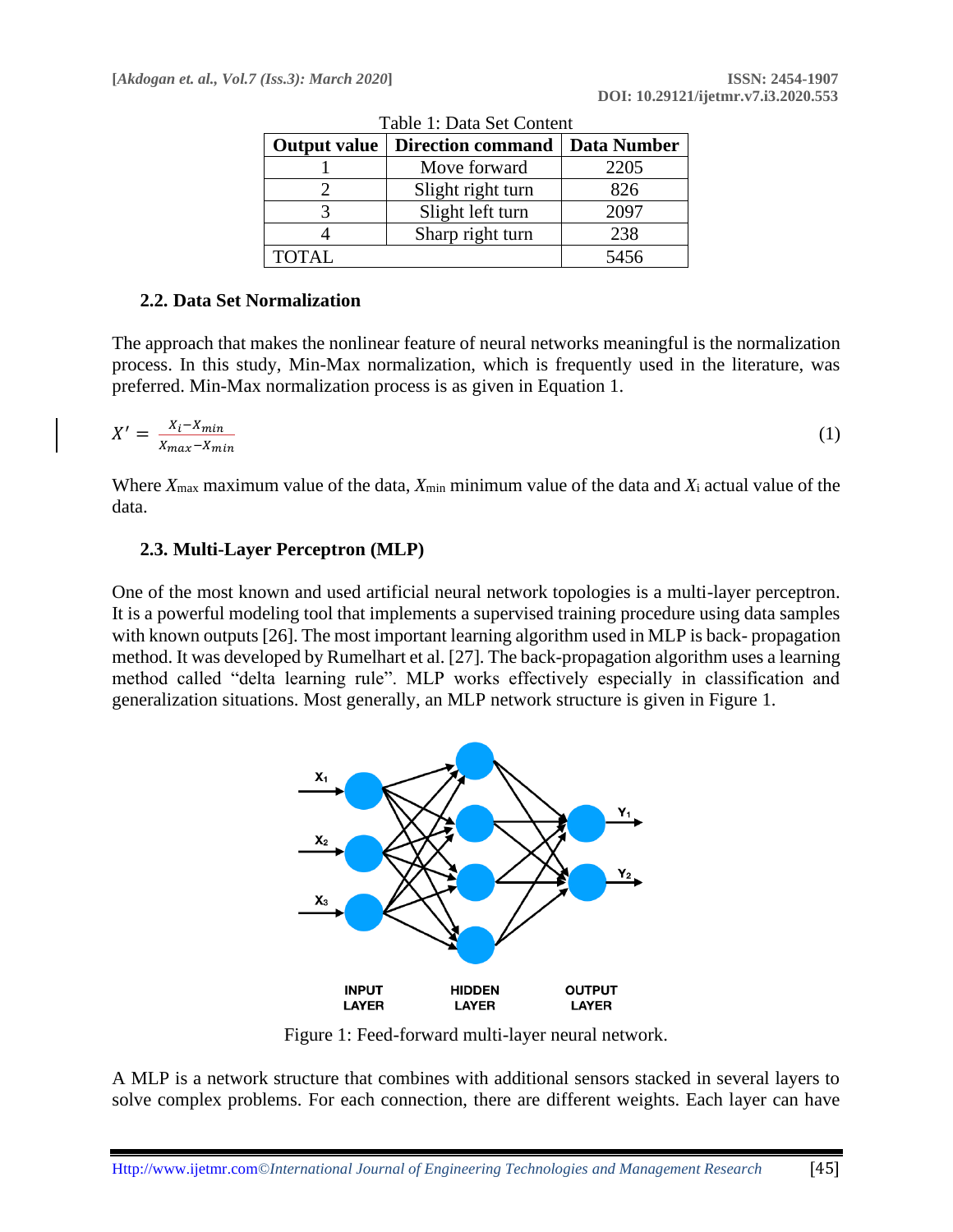| <b>Output value</b> | <b>Direction command</b> |      |
|---------------------|--------------------------|------|
|                     | Move forward             | 2205 |
|                     | Slight right turn        | 826  |
|                     | Slight left turn         | 2097 |
|                     | Sharp right turn         | 238  |
| <b>TOTAL</b>        |                          | 5456 |

Table 1: Data Set Content

#### **2.2. Data Set Normalization**

The approach that makes the nonlinear feature of neural networks meaningful is the normalization process. In this study, Min-Max normalization, which is frequently used in the literature, was preferred. Min-Max normalization process is as given in Equation 1.

$$
X' = \frac{X_i - X_{min}}{X_{max} - X_{min}}\tag{1}
$$

Where  $X_{\text{max}}$  maximum value of the data,  $X_{\text{min}}$  minimum value of the data and  $X_i$  actual value of the data.

#### **2.3. Multi-Layer Perceptron (MLP)**

One of the most known and used artificial neural network topologies is a multi-layer perceptron. It is a powerful modeling tool that implements a supervised training procedure using data samples with known outputs [26]. The most important learning algorithm used in MLP is back- propagation method. It was developed by Rumelhart et al. [27]. The back-propagation algorithm uses a learning method called "delta learning rule". MLP works effectively especially in classification and generalization situations. Most generally, an MLP network structure is given in Figure 1.



Figure 1: Feed-forward multi-layer neural network.

A MLP is a network structure that combines with additional sensors stacked in several layers to solve complex problems. For each connection, there are different weights. Each layer can have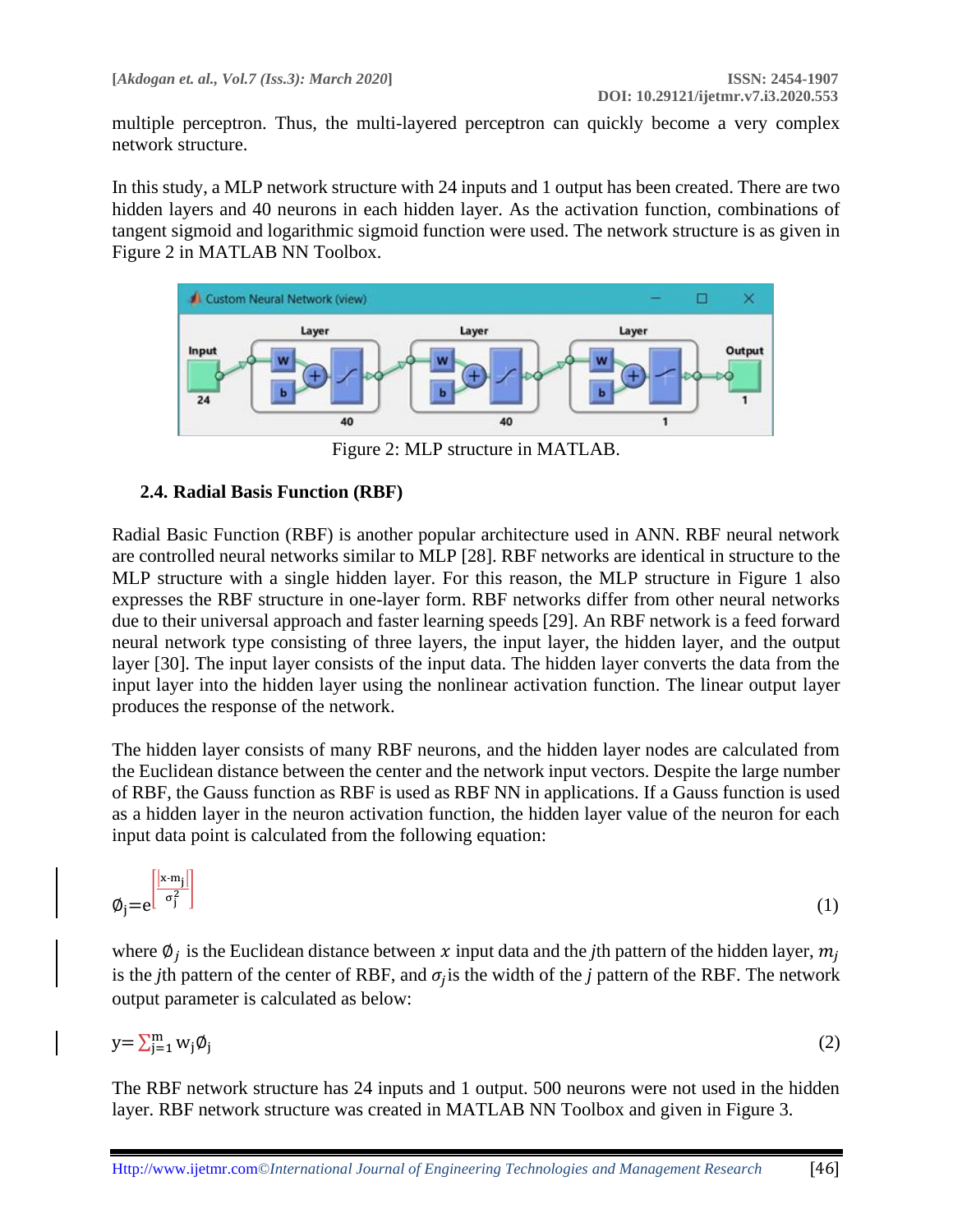multiple perceptron. Thus, the multi-layered perceptron can quickly become a very complex network structure.

In this study, a MLP network structure with 24 inputs and 1 output has been created. There are two hidden layers and 40 neurons in each hidden layer. As the activation function, combinations of tangent sigmoid and logarithmic sigmoid function were used. The network structure is as given in Figure 2 in MATLAB NN Toolbox.



Figure 2: MLP structure in MATLAB.

### **2.4. Radial Basis Function (RBF)**

Radial Basic Function (RBF) is another popular architecture used in ANN. RBF neural network are controlled neural networks similar to MLP [28]. RBF networks are identical in structure to the MLP structure with a single hidden layer. For this reason, the MLP structure in Figure 1 also expresses the RBF structure in one-layer form. RBF networks differ from other neural networks due to their universal approach and faster learning speeds [29]. An RBF network is a feed forward neural network type consisting of three layers, the input layer, the hidden layer, and the output layer [30]. The input layer consists of the input data. The hidden layer converts the data from the input layer into the hidden layer using the nonlinear activation function. The linear output layer produces the response of the network.

The hidden layer consists of many RBF neurons, and the hidden layer nodes are calculated from the Euclidean distance between the center and the network input vectors. Despite the large number of RBF, the Gauss function as RBF is used as RBF NN in applications. If a Gauss function is used as a hidden layer in the neuron activation function, the hidden layer value of the neuron for each input data point is calculated from the following equation:

$$
\varphi_j = e^{\left[\frac{|x - m_j|}{\sigma_j^2}\right]}
$$
 (1)

where  $\emptyset_j$  is the Euclidean distance between x input data and the *j*th pattern of the hidden layer,  $m_j$ is the *j*th pattern of the center of RBF, and  $\sigma_j$  is the width of the *j* pattern of the RBF. The network output parameter is calculated as below:

$$
y = \sum_{j=1}^{m} w_j \emptyset_j \tag{2}
$$

The RBF network structure has 24 inputs and 1 output. 500 neurons were not used in the hidden layer. RBF network structure was created in MATLAB NN Toolbox and given in Figure 3.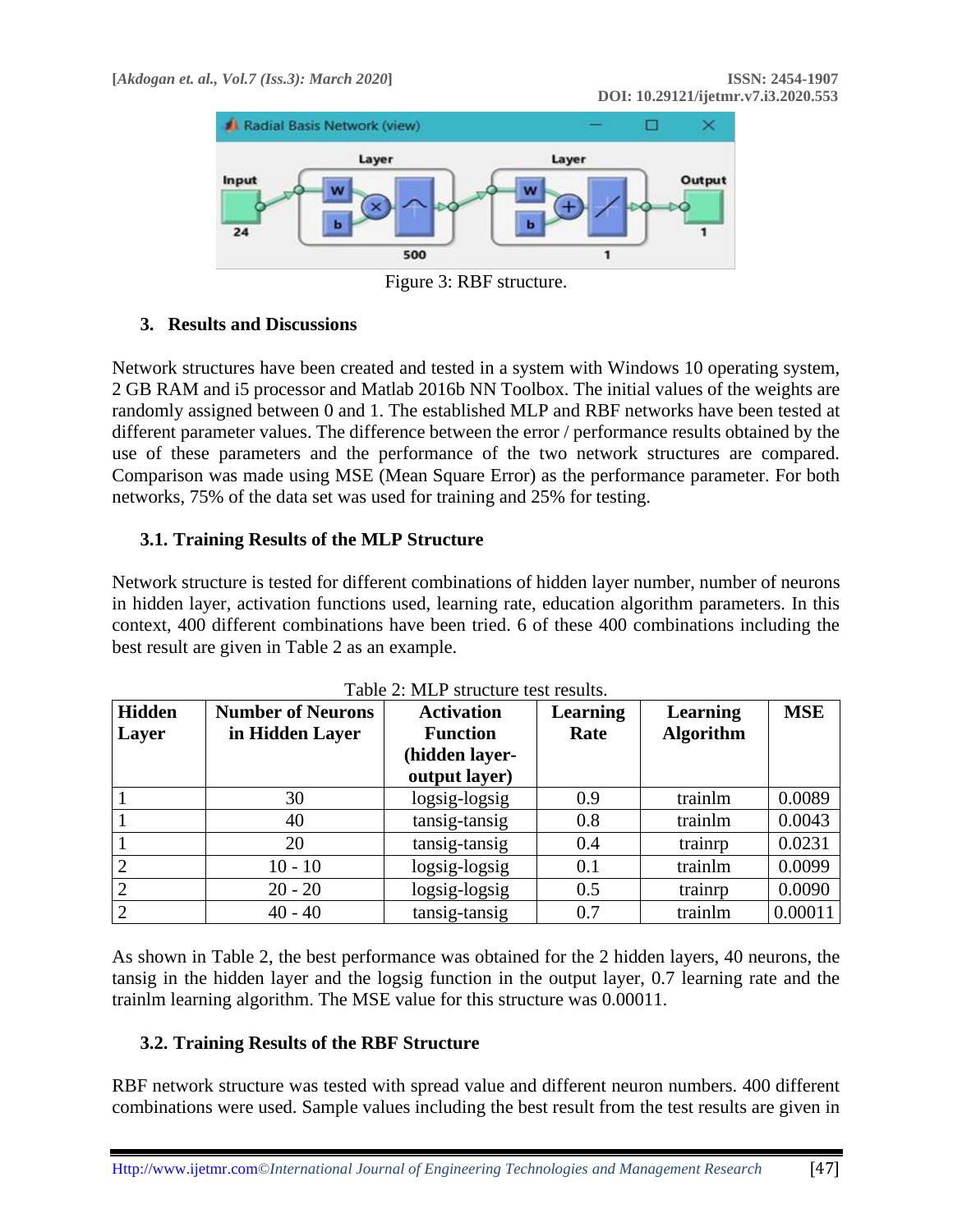

Figure 3: RBF structure.

## **3. Results and Discussions**

Network structures have been created and tested in a system with Windows 10 operating system, 2 GB RAM and i5 processor and Matlab 2016b NN Toolbox. The initial values of the weights are randomly assigned between 0 and 1. The established MLP and RBF networks have been tested at different parameter values. The difference between the error / performance results obtained by the use of these parameters and the performance of the two network structures are compared. Comparison was made using MSE (Mean Square Error) as the performance parameter. For both networks, 75% of the data set was used for training and 25% for testing.

## **3.1. Training Results of the MLP Structure**

Network structure is tested for different combinations of hidden layer number, number of neurons in hidden layer, activation functions used, learning rate, education algorithm parameters. In this context, 400 different combinations have been tried. 6 of these 400 combinations including the best result are given in Table 2 as an example.

| <b>Hidden</b><br>Layer | <b>Number of Neurons</b><br>in Hidden Layer | <b>Activation</b><br><b>Function</b><br>hidden layer-<br>output layer) | <b>Learning</b><br>Rate | <b>Learning</b><br><b>Algorithm</b> | <b>MSE</b> |
|------------------------|---------------------------------------------|------------------------------------------------------------------------|-------------------------|-------------------------------------|------------|
|                        | 30                                          | logsig-logsig                                                          | 0.9                     | trainlm                             | 0.0089     |
|                        | 40                                          | tansig-tansig                                                          | 0.8                     | trainlm                             | 0.0043     |
|                        | 20                                          | tansig-tansig                                                          | 0.4                     | trainrp                             | 0.0231     |
|                        | $10 - 10$                                   | logsig-logsig                                                          | 0.1                     | trainlm                             | 0.0099     |
|                        | $20 - 20$                                   | logsig-logsig                                                          | 0.5                     | trainrp                             | 0.0090     |
|                        | $40 - 40$                                   | tansig-tansig                                                          | 0.7                     | trainlm                             | 0.00011    |

| Table 2: MLP structure test results. |  |  |
|--------------------------------------|--|--|
|--------------------------------------|--|--|

As shown in Table 2, the best performance was obtained for the 2 hidden layers, 40 neurons, the tansig in the hidden layer and the logsig function in the output layer, 0.7 learning rate and the trainlm learning algorithm. The MSE value for this structure was 0.00011.

# **3.2. Training Results of the RBF Structure**

RBF network structure was tested with spread value and different neuron numbers. 400 different combinations were used. Sample values including the best result from the test results are given in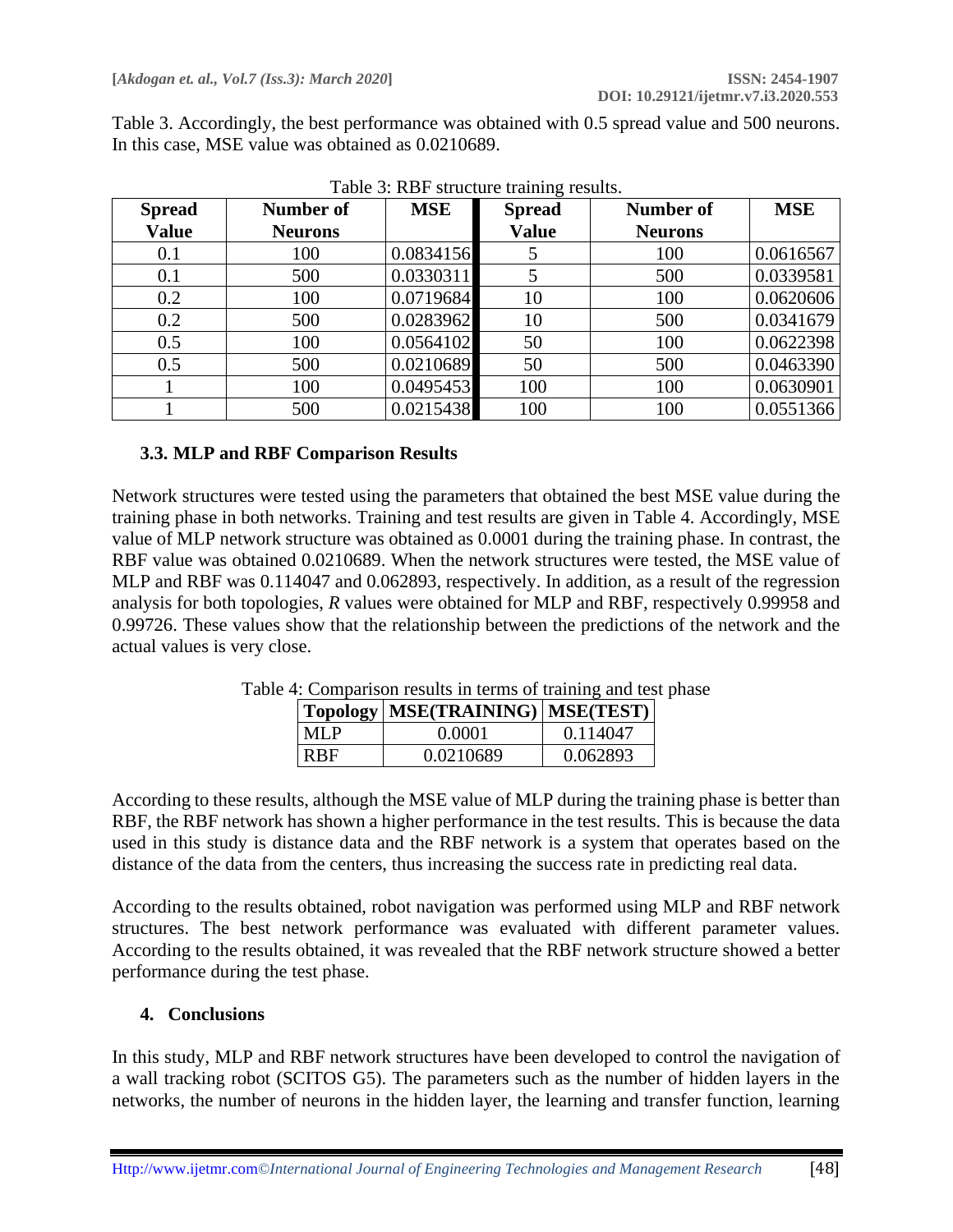Table 3. Accordingly, the best performance was obtained with 0.5 spread value and 500 neurons. In this case, MSE value was obtained as 0.0210689.

| <b>Spread</b> | Number of      | <b>MSE</b> | <b>Spread</b> | Number of      | <b>MSE</b> |
|---------------|----------------|------------|---------------|----------------|------------|
| <b>Value</b>  | <b>Neurons</b> |            | <b>Value</b>  | <b>Neurons</b> |            |
| 0.1           | 100            | 0.0834156  |               | 100            | 0.0616567  |
| 0.1           | 500            | 0.0330311  |               | 500            | 0.0339581  |
| 0.2           | 100            | 0.0719684  | 10            | 100            | 0.0620606  |
| 0.2           | 500            | 0.0283962  | 10            | 500            | 0.0341679  |
| 0.5           | 100            | 0.0564102  | 50            | 100            | 0.0622398  |
| 0.5           | 500            | 0.0210689  | 50            | 500            | 0.0463390  |
|               | 100            | 0.0495453  | 100           | 100            | 0.0630901  |
|               | 500            | 0.0215438  | 100           | 100            | 0.0551366  |

Table 3: RBF structure training results.

## **3.3. MLP and RBF Comparison Results**

Network structures were tested using the parameters that obtained the best MSE value during the training phase in both networks. Training and test results are given in Table 4. Accordingly, MSE value of MLP network structure was obtained as 0.0001 during the training phase. In contrast, the RBF value was obtained 0.0210689. When the network structures were tested, the MSE value of MLP and RBF was 0.114047 and 0.062893, respectively. In addition, as a result of the regression analysis for both topologies, *R* values were obtained for MLP and RBF, respectively 0.99958 and 0.99726. These values show that the relationship between the predictions of the network and the actual values is very close.

|            | Topology   MSE(TRAINING)   MSE(TEST) |          |
|------------|--------------------------------------|----------|
| <b>MLP</b> | 0.0001                               | 0.114047 |
| <b>RBF</b> | 0.0210689                            | 0.062893 |

Table 4: Comparison results in terms of training and test phase

According to these results, although the MSE value of MLP during the training phase is better than RBF, the RBF network has shown a higher performance in the test results. This is because the data used in this study is distance data and the RBF network is a system that operates based on the distance of the data from the centers, thus increasing the success rate in predicting real data.

According to the results obtained, robot navigation was performed using MLP and RBF network structures. The best network performance was evaluated with different parameter values. According to the results obtained, it was revealed that the RBF network structure showed a better performance during the test phase.

### **4. Conclusions**

In this study, MLP and RBF network structures have been developed to control the navigation of a wall tracking robot (SCITOS G5). The parameters such as the number of hidden layers in the networks, the number of neurons in the hidden layer, the learning and transfer function, learning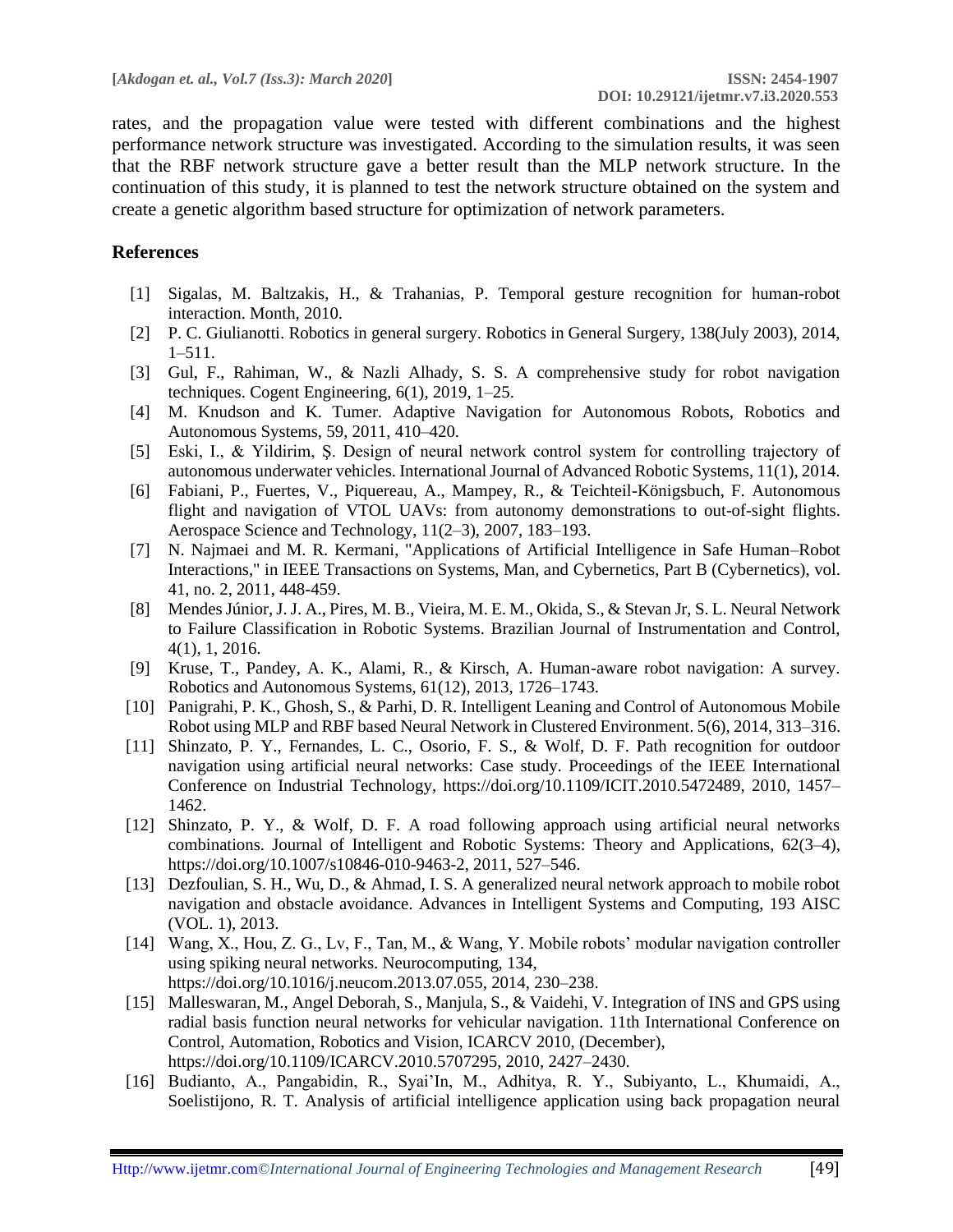rates, and the propagation value were tested with different combinations and the highest performance network structure was investigated. According to the simulation results, it was seen that the RBF network structure gave a better result than the MLP network structure. In the continuation of this study, it is planned to test the network structure obtained on the system and create a genetic algorithm based structure for optimization of network parameters.

#### **References**

- [1] Sigalas, M. Baltzakis, H., & Trahanias, P. Temporal gesture recognition for human-robot interaction. Month, 2010.
- [2] P. C. Giulianotti. Robotics in general surgery. Robotics in General Surgery, 138(July 2003), 2014, 1–511.
- [3] Gul, F., Rahiman, W., & Nazli Alhady, S. S. A comprehensive study for robot navigation techniques. Cogent Engineering, 6(1), 2019, 1–25.
- [4] M. Knudson and K. Tumer. Adaptive Navigation for Autonomous Robots, Robotics and Autonomous Systems, 59, 2011, 410–420.
- [5] Eski, I., & Yildirim, Ş. Design of neural network control system for controlling trajectory of autonomous underwater vehicles. International Journal of Advanced Robotic Systems, 11(1), 2014.
- [6] Fabiani, P., Fuertes, V., Piquereau, A., Mampey, R., & Teichteil-Königsbuch, F. Autonomous flight and navigation of VTOL UAVs: from autonomy demonstrations to out-of-sight flights. Aerospace Science and Technology, 11(2–3), 2007, 183–193.
- [7] N. Najmaei and M. R. Kermani, "Applications of Artificial Intelligence in Safe Human–Robot Interactions," in IEEE Transactions on Systems, Man, and Cybernetics, Part B (Cybernetics), vol. 41, no. 2, 2011, 448-459.
- [8] Mendes Júnior, J. J. A., Pires, M. B., Vieira, M. E. M., Okida, S., & Stevan Jr, S. L. Neural Network to Failure Classification in Robotic Systems. Brazilian Journal of Instrumentation and Control, 4(1), 1, 2016.
- [9] Kruse, T., Pandey, A. K., Alami, R., & Kirsch, A. Human-aware robot navigation: A survey. Robotics and Autonomous Systems, 61(12), 2013, 1726–1743.
- [10] Panigrahi, P. K., Ghosh, S., & Parhi, D. R. Intelligent Leaning and Control of Autonomous Mobile Robot using MLP and RBF based Neural Network in Clustered Environment. 5(6), 2014, 313–316.
- [11] Shinzato, P. Y., Fernandes, L. C., Osorio, F. S., & Wolf, D. F. Path recognition for outdoor navigation using artificial neural networks: Case study. Proceedings of the IEEE International Conference on Industrial Technology, https://doi.org/10.1109/ICIT.2010.5472489, 2010, 1457– 1462.
- [12] Shinzato, P. Y., & Wolf, D. F. A road following approach using artificial neural networks combinations. Journal of Intelligent and Robotic Systems: Theory and Applications, 62(3–4), https://doi.org/10.1007/s10846-010-9463-2, 2011, 527–546.
- [13] Dezfoulian, S. H., Wu, D., & Ahmad, I. S. A generalized neural network approach to mobile robot navigation and obstacle avoidance. Advances in Intelligent Systems and Computing, 193 AISC (VOL. 1), 2013.
- [14] Wang, X., Hou, Z. G., Lv, F., Tan, M., & Wang, Y. Mobile robots' modular navigation controller using spiking neural networks. Neurocomputing, 134, https://doi.org/10.1016/j.neucom.2013.07.055, 2014, 230–238.
- [15] Malleswaran, M., Angel Deborah, S., Manjula, S., & Vaidehi, V. Integration of INS and GPS using radial basis function neural networks for vehicular navigation. 11th International Conference on Control, Automation, Robotics and Vision, ICARCV 2010, (December), https://doi.org/10.1109/ICARCV.2010.5707295, 2010, 2427–2430.
- [16] Budianto, A., Pangabidin, R., Syai'In, M., Adhitya, R. Y., Subiyanto, L., Khumaidi, A., Soelistijono, R. T. Analysis of artificial intelligence application using back propagation neural